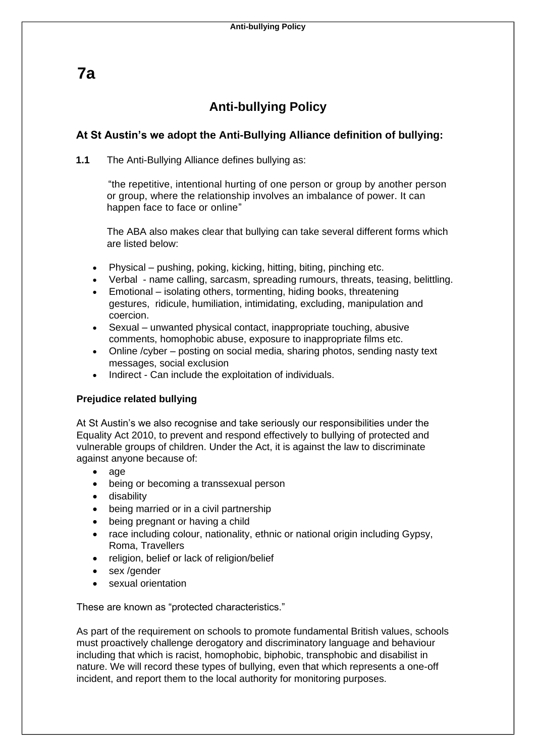**7a**

# **Anti-bullying Policy**

# **At St Austin's we adopt the Anti-Bullying Alliance definition of bullying:**

**1.1** The Anti-Bullying Alliance defines bullying as:

"the repetitive, intentional hurting of one person or group by another person or group, where the relationship involves an imbalance of power. It can happen face to face or online"

The ABA also makes clear that bullying can take several different forms which are listed below:

- Physical pushing, poking, kicking, hitting, biting, pinching etc.
- Verbal name calling, sarcasm, spreading rumours, threats, teasing, belittling.
- Emotional isolating others, tormenting, hiding books, threatening gestures, ridicule, humiliation, intimidating, excluding, manipulation and coercion.
- Sexual unwanted physical contact, inappropriate touching, abusive comments, homophobic abuse, exposure to inappropriate films etc.
- Online /cyber posting on social media, sharing photos, sending nasty text messages, social exclusion
- Indirect Can include the exploitation of individuals.

## **Prejudice related bullying**

At St Austin's we also recognise and take seriously our responsibilities under the Equality Act 2010, to prevent and respond effectively to bullying of protected and vulnerable groups of children. Under the Act, it is against the law to discriminate against anyone because of:

- age
- being or becoming a transsexual person
- disability
- being married or in a civil partnership
- being pregnant or having a child
- race including colour, nationality, ethnic or national origin including Gypsy, Roma, Travellers
- religion, belief or lack of religion/belief
- sex /gender
- sexual orientation

These are known as "protected characteristics."

As part of the requirement on schools to promote fundamental British values, schools must proactively challenge derogatory and discriminatory language and behaviour including that which is racist, homophobic, biphobic, transphobic and disabilist in nature. We will record these types of bullying, even that which represents a one-off incident, and report them to the local authority for monitoring purposes.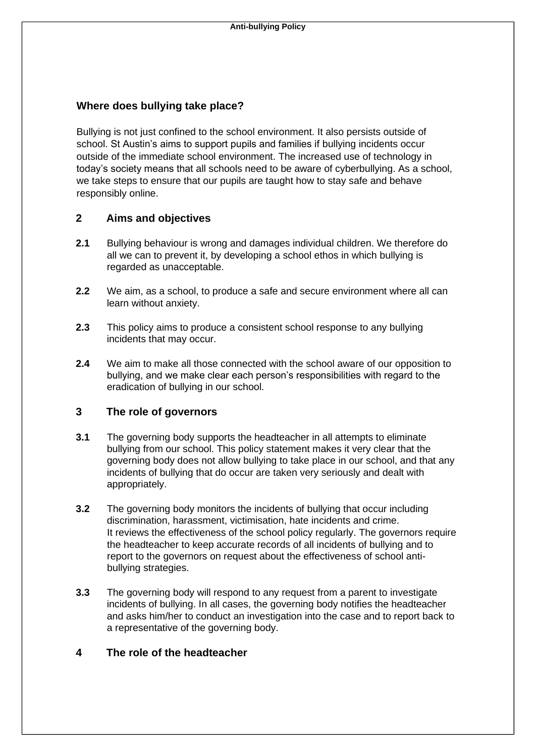## **Where does bullying take place?**

Bullying is not just confined to the school environment. It also persists outside of school. St Austin's aims to support pupils and families if bullying incidents occur outside of the immediate school environment. The increased use of technology in today's society means that all schools need to be aware of cyberbullying. As a school, we take steps to ensure that our pupils are taught how to stay safe and behave responsibly online.

## **2 Aims and objectives**

- **2.1** Bullying behaviour is wrong and damages individual children. We therefore do all we can to prevent it, by developing a school ethos in which bullying is regarded as unacceptable.
- **2.2** We aim, as a school, to produce a safe and secure environment where all can learn without anxiety.
- **2.3** This policy aims to produce a consistent school response to any bullying incidents that may occur.
- **2.4** We aim to make all those connected with the school aware of our opposition to bullying, and we make clear each person's responsibilities with regard to the eradication of bullying in our school.

## **3 The role of governors**

- **3.1** The governing body supports the headteacher in all attempts to eliminate bullying from our school. This policy statement makes it very clear that the governing body does not allow bullying to take place in our school, and that any incidents of bullying that do occur are taken very seriously and dealt with appropriately.
- **3.2** The governing body monitors the incidents of bullying that occur including discrimination, harassment, victimisation, hate incidents and crime. It reviews the effectiveness of the school policy regularly. The governors require the headteacher to keep accurate records of all incidents of bullying and to report to the governors on request about the effectiveness of school antibullying strategies.
- **3.3** The governing body will respond to any request from a parent to investigate incidents of bullying. In all cases, the governing body notifies the headteacher and asks him/her to conduct an investigation into the case and to report back to a representative of the governing body.

## **4 The role of the headteacher**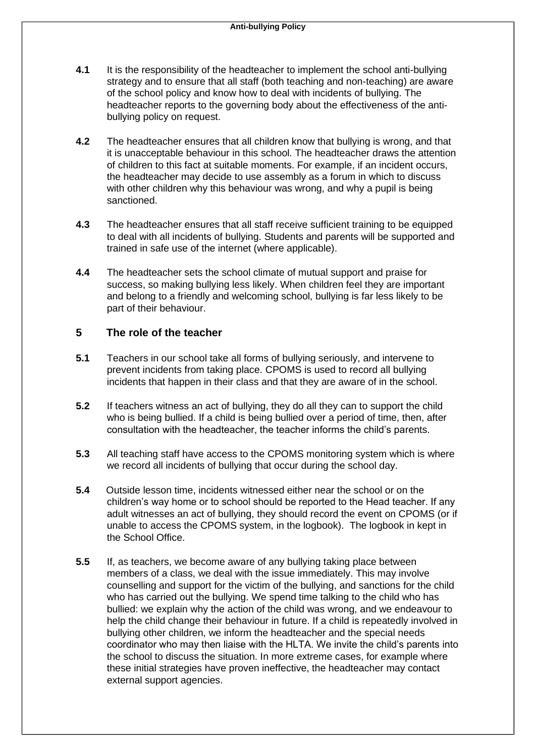- **4.1** It is the responsibility of the headteacher to implement the school anti-bullying strategy and to ensure that all staff (both teaching and non-teaching) are aware of the school policy and know how to deal with incidents of bullying. The headteacher reports to the governing body about the effectiveness of the antibullying policy on request.
- **4.2** The headteacher ensures that all children know that bullying is wrong, and that it is unacceptable behaviour in this school. The headteacher draws the attention of children to this fact at suitable moments. For example, if an incident occurs, the headteacher may decide to use assembly as a forum in which to discuss with other children why this behaviour was wrong, and why a pupil is being sanctioned.
- **4.3** The headteacher ensures that all staff receive sufficient training to be equipped to deal with all incidents of bullying. Students and parents will be supported and trained in safe use of the internet (where applicable).
- **4.4** The headteacher sets the school climate of mutual support and praise for success, so making bullying less likely. When children feel they are important and belong to a friendly and welcoming school, bullying is far less likely to be part of their behaviour.

## **5 The role of the teacher**

- **5.1** Teachers in our school take all forms of bullying seriously, and intervene to prevent incidents from taking place. CPOMS is used to record all bullying incidents that happen in their class and that they are aware of in the school.
- **5.2** If teachers witness an act of bullying, they do all they can to support the child who is being bullied. If a child is being bullied over a period of time, then, after consultation with the headteacher, the teacher informs the child's parents.
- **5.3** All teaching staff have access to the CPOMS monitoring system which is where we record all incidents of bullying that occur during the school day.
- **5.4** Outside lesson time, incidents witnessed either near the school or on the children's way home or to school should be reported to the Head teacher. If any adult witnesses an act of bullying, they should record the event on CPOMS (or if unable to access the CPOMS system, in the logbook). The logbook in kept in the School Office.
- **5.5** If, as teachers, we become aware of any bullying taking place between members of a class, we deal with the issue immediately. This may involve counselling and support for the victim of the bullying, and sanctions for the child who has carried out the bullying. We spend time talking to the child who has bullied: we explain why the action of the child was wrong, and we endeavour to help the child change their behaviour in future. If a child is repeatedly involved in bullying other children, we inform the headteacher and the special needs coordinator who may then liaise with the HLTA. We invite the child's parents into the school to discuss the situation. In more extreme cases, for example where these initial strategies have proven ineffective, the headteacher may contact external support agencies.